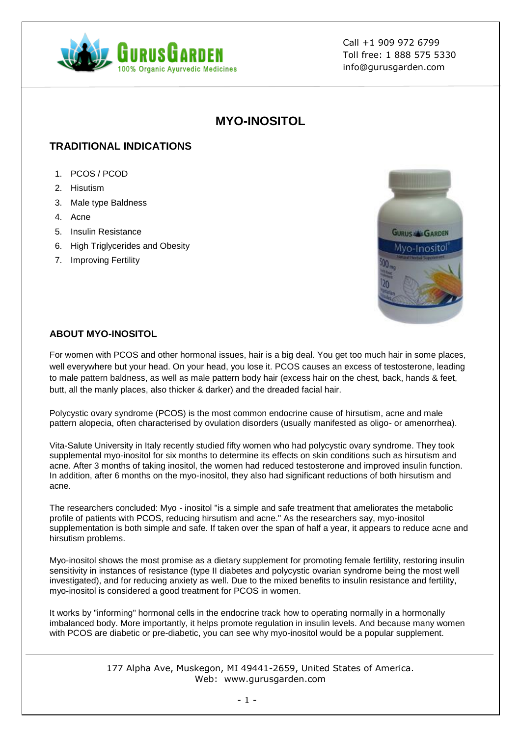

Call +1 909 972 6799 Toll free: 1 888 575 5330 info@gurusgarden.com

# **MYO-INOSITOL**

## **TRADITIONAL INDICATIONS**

- 1. PCOS / PCOD
- 2. Hisutism
- 3. Male type Baldness
- 4. Acne
- 5. Insulin Resistance
- 6. High Triglycerides and Obesity
- 7. Improving Fertility



#### **ABOUT MYO-INOSITOL**

For women with PCOS and other hormonal issues, hair is a big deal. You get too much hair in some places, well everywhere but your head. On your head, you lose it. PCOS causes an excess of testosterone, leading to male pattern baldness, as well as male pattern body hair (excess hair on the chest, back, hands & feet, butt, all the manly places, also thicker & darker) and the dreaded facial hair.

Polycystic ovary syndrome (PCOS) is the most common endocrine cause of hirsutism, acne and male pattern alopecia, often characterised by ovulation disorders (usually manifested as oligo- or amenorrhea).

Vita-Salute University in Italy recently studied fifty women who had polycystic ovary syndrome. They took supplemental myo-inositol for six months to determine its effects on skin conditions such as hirsutism and acne. After 3 months of taking inositol, the women had reduced testosterone and improved insulin function. In addition, after 6 months on the myo-inositol, they also had significant reductions of both hirsutism and acne.

The researchers concluded: Myo - inositol "is a simple and safe treatment that ameliorates the metabolic profile of patients with PCOS, reducing hirsutism and acne." As the researchers say, myo-inositol supplementation is both simple and safe. If taken over the span of half a year, it appears to reduce acne and hirsutism problems.

Myo-inositol shows the most promise as a dietary supplement for promoting female fertility, restoring insulin sensitivity in instances of resistance (type II diabetes and polycystic ovarian syndrome being the most well investigated), and for reducing anxiety as well. Due to the mixed benefits to insulin resistance and fertility, myo-inositol is considered a good treatment for PCOS in women.

It works by "informing" hormonal cells in the endocrine track how to operating normally in a hormonally imbalanced body. More importantly, it helps promote regulation in insulin levels. And because many women with PCOS are diabetic or pre-diabetic, you can see why myo-inositol would be a popular supplement.

> 177 Alpha Ave, Muskegon, MI 49441-2659, United States of America. Web: www.gurusgarden.com